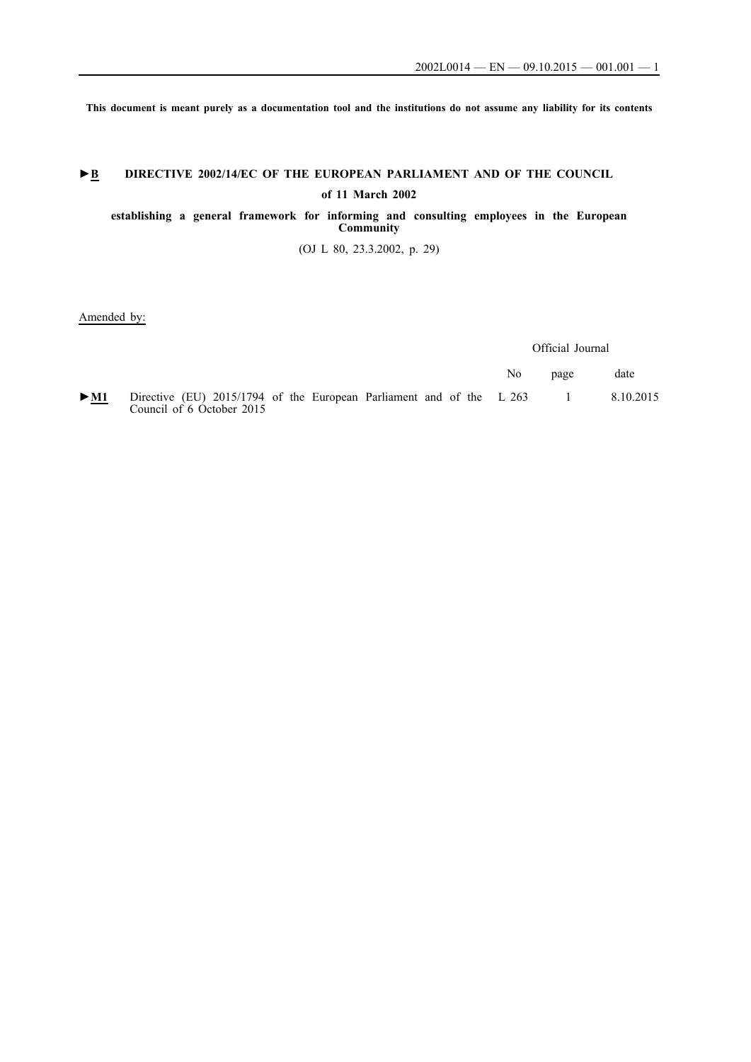**This document is meant purely as a documentation tool and the institutions do not assume any liability for its contents**

# **►B DIRECTIVE 2002/14/EC OF THE EUROPEAN PARLIAMENT AND OF THE COUNCIL of 11 March 2002**

**establishing a general framework for informing and consulting employees in the European Community**

(OJ L 80, 23.3.2002, p. 29)

Amended by:

Official Journal

|                            |                                                                                                   |  |  | No. | page | date      |
|----------------------------|---------------------------------------------------------------------------------------------------|--|--|-----|------|-----------|
| $\triangleright$ <u>M1</u> | Directive (EU) 2015/1794 of the European Parliament and of the L 263<br>Council of 6 October 2015 |  |  |     |      | 8.10.2015 |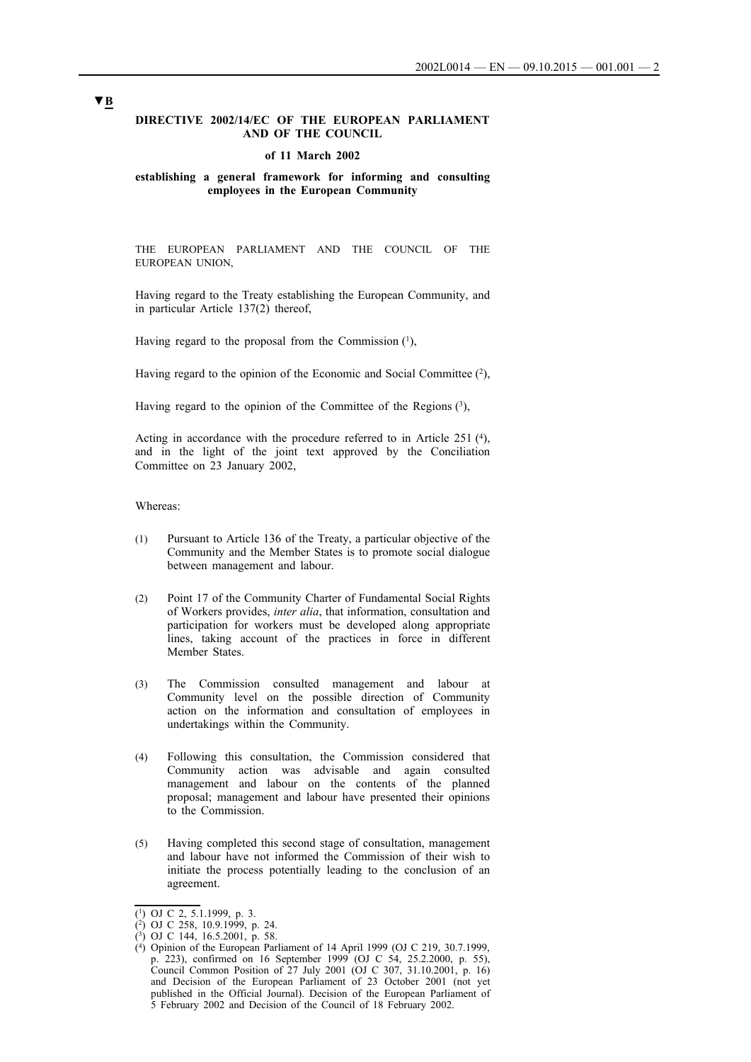### **DIRECTIVE 2002/14/EC OF THE EUROPEAN PARLIAMENT AND OF THE COUNCIL**

#### **of 11 March 2002**

## **establishing a general framework for informing and consulting employees in the European Community**

THE EUROPEAN PARLIAMENT AND THE COUNCIL OF THE EUROPEAN UNION,

Having regard to the Treaty establishing the European Community, and in particular Article 137(2) thereof,

Having regard to the proposal from the Commission  $(1)$ ,

Having regard to the opinion of the Economic and Social Committee (2),

Having regard to the opinion of the Committee of the Regions  $(3)$ ,

Acting in accordance with the procedure referred to in Article 251<sup>(4)</sup>, and in the light of the joint text approved by the Conciliation Committee on 23 January 2002,

Whereas:

- (1) Pursuant to Article 136 of the Treaty, a particular objective of the Community and the Member States is to promote social dialogue between management and labour.
- (2) Point 17 of the Community Charter of Fundamental Social Rights of Workers provides, *inter alia*, that information, consultation and participation for workers must be developed along appropriate lines, taking account of the practices in force in different Member States.
- (3) The Commission consulted management and labour at Community level on the possible direction of Community action on the information and consultation of employees in undertakings within the Community.
- (4) Following this consultation, the Commission considered that Community action was advisable and again consulted management and labour on the contents of the planned proposal; management and labour have presented their opinions to the Commission.
- (5) Having completed this second stage of consultation, management and labour have not informed the Commission of their wish to initiate the process potentially leading to the conclusion of an agreement.

<sup>(1)</sup> OJ C 2, 5.1.1999, p. 3.

<sup>(2)</sup> OJ C 258, 10.9.1999, p. 24.

<sup>(3)</sup> OJ C 144, 16.5.2001, p. 58.

<sup>(4)</sup> Opinion of the European Parliament of 14 April 1999 (OJ C 219, 30.7.1999, p. 223), confirmed on 16 September 1999 (OJ C 54, 25.2.2000, p. 55), Council Common Position of 27 July 2001 (OJ C 307, 31.10.2001, p. 16) and Decision of the European Parliament of 23 October 2001 (not yet published in the Official Journal). Decision of the European Parliament of 5 February 2002 and Decision of the Council of 18 February 2002.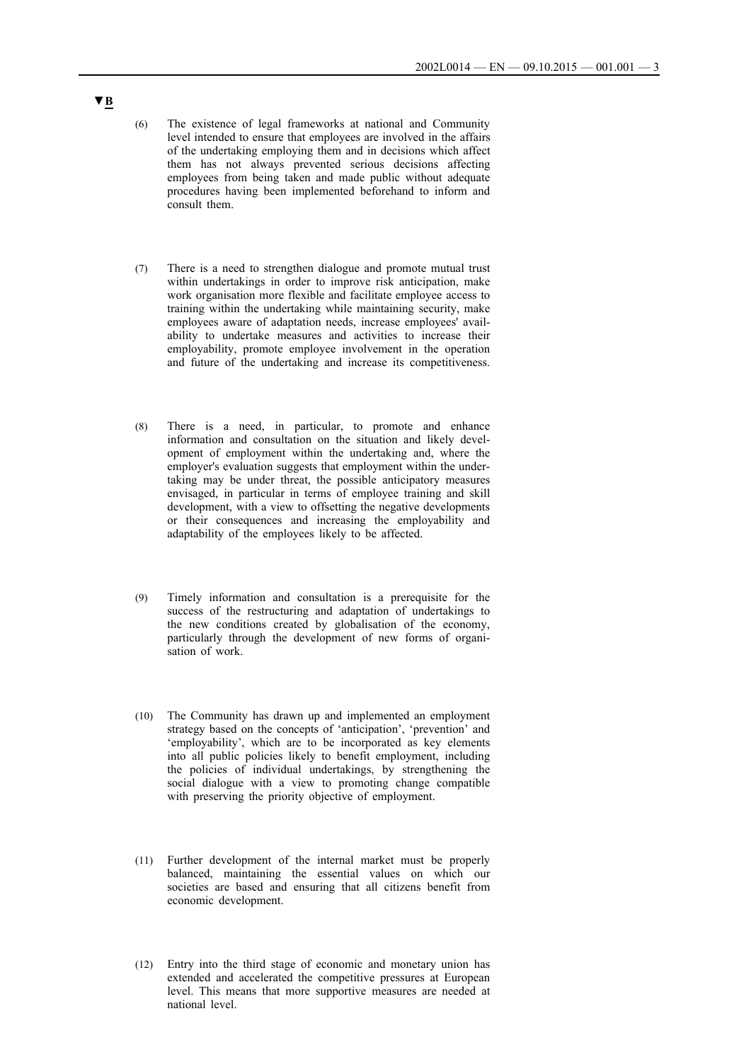- (6) The existence of legal frameworks at national and Community level intended to ensure that employees are involved in the affairs of the undertaking employing them and in decisions which affect them has not always prevented serious decisions affecting employees from being taken and made public without adequate procedures having been implemented beforehand to inform and consult them.
- (7) There is a need to strengthen dialogue and promote mutual trust within undertakings in order to improve risk anticipation, make work organisation more flexible and facilitate employee access to training within the undertaking while maintaining security, make employees aware of adaptation needs, increase employees' availability to undertake measures and activities to increase their employability, promote employee involvement in the operation and future of the undertaking and increase its competitiveness.
- (8) There is a need, in particular, to promote and enhance information and consultation on the situation and likely development of employment within the undertaking and, where the employer's evaluation suggests that employment within the undertaking may be under threat, the possible anticipatory measures envisaged, in particular in terms of employee training and skill development, with a view to offsetting the negative developments or their consequences and increasing the employability and adaptability of the employees likely to be affected.
- (9) Timely information and consultation is a prerequisite for the success of the restructuring and adaptation of undertakings to the new conditions created by globalisation of the economy, particularly through the development of new forms of organisation of work.
- (10) The Community has drawn up and implemented an employment strategy based on the concepts of 'anticipation', 'prevention' and 'employability', which are to be incorporated as key elements into all public policies likely to benefit employment, including the policies of individual undertakings, by strengthening the social dialogue with a view to promoting change compatible with preserving the priority objective of employment.
- (11) Further development of the internal market must be properly balanced, maintaining the essential values on which our societies are based and ensuring that all citizens benefit from economic development.
- (12) Entry into the third stage of economic and monetary union has extended and accelerated the competitive pressures at European level. This means that more supportive measures are needed at national level.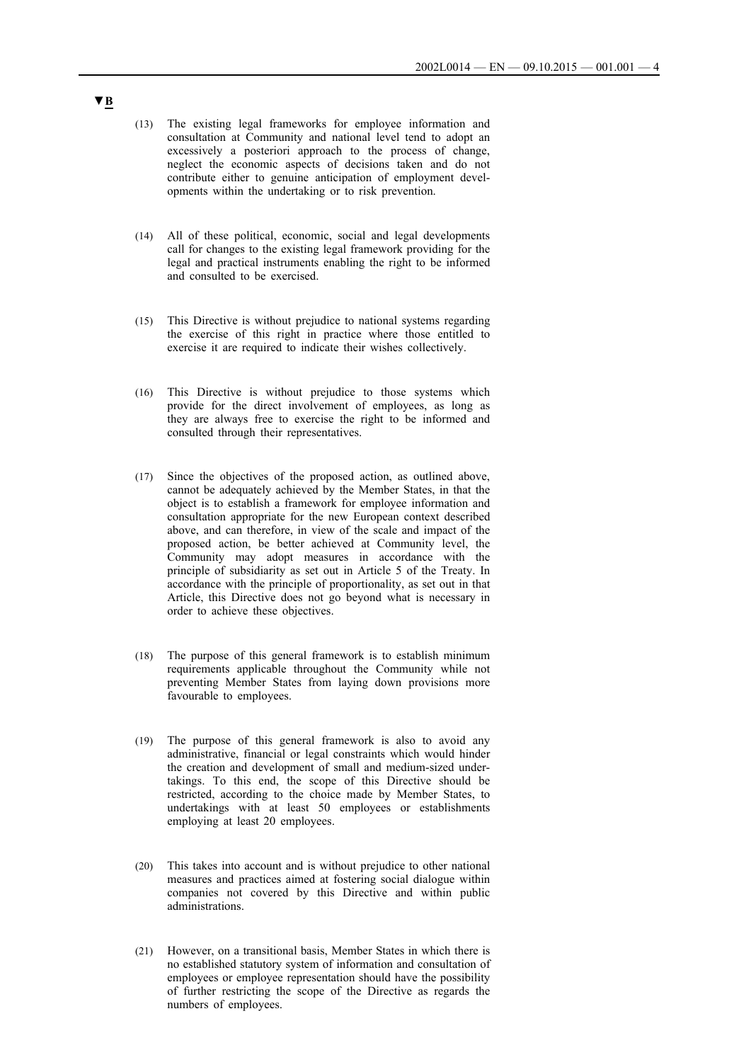- (13) The existing legal frameworks for employee information and consultation at Community and national level tend to adopt an excessively a posteriori approach to the process of change, neglect the economic aspects of decisions taken and do not contribute either to genuine anticipation of employment developments within the undertaking or to risk prevention.
- (14) All of these political, economic, social and legal developments call for changes to the existing legal framework providing for the legal and practical instruments enabling the right to be informed and consulted to be exercised.
- (15) This Directive is without prejudice to national systems regarding the exercise of this right in practice where those entitled to exercise it are required to indicate their wishes collectively.
- (16) This Directive is without prejudice to those systems which provide for the direct involvement of employees, as long as they are always free to exercise the right to be informed and consulted through their representatives.
- (17) Since the objectives of the proposed action, as outlined above, cannot be adequately achieved by the Member States, in that the object is to establish a framework for employee information and consultation appropriate for the new European context described above, and can therefore, in view of the scale and impact of the proposed action, be better achieved at Community level, the Community may adopt measures in accordance with the principle of subsidiarity as set out in Article 5 of the Treaty. In accordance with the principle of proportionality, as set out in that Article, this Directive does not go beyond what is necessary in order to achieve these objectives.
- (18) The purpose of this general framework is to establish minimum requirements applicable throughout the Community while not preventing Member States from laying down provisions more favourable to employees.
- (19) The purpose of this general framework is also to avoid any administrative, financial or legal constraints which would hinder the creation and development of small and medium-sized undertakings. To this end, the scope of this Directive should be restricted, according to the choice made by Member States, to undertakings with at least 50 employees or establishments employing at least 20 employees.
- (20) This takes into account and is without prejudice to other national measures and practices aimed at fostering social dialogue within companies not covered by this Directive and within public administrations.
- (21) However, on a transitional basis, Member States in which there is no established statutory system of information and consultation of employees or employee representation should have the possibility of further restricting the scope of the Directive as regards the numbers of employees.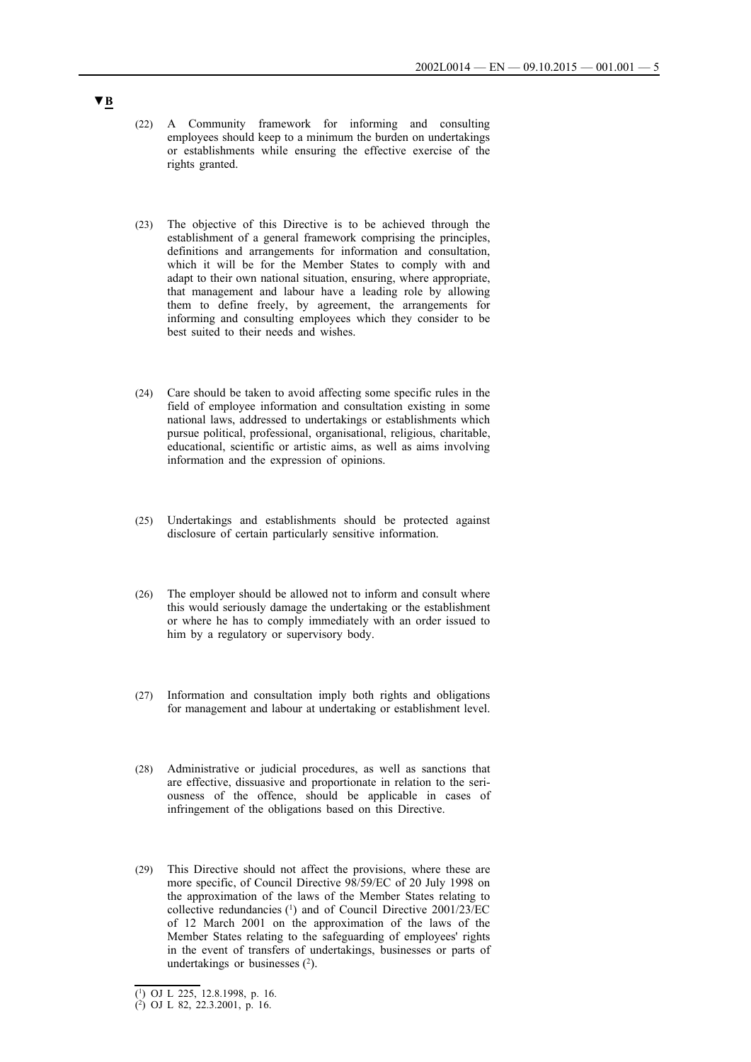- (22) A Community framework for informing and consulting employees should keep to a minimum the burden on undertakings or establishments while ensuring the effective exercise of the rights granted.
- (23) The objective of this Directive is to be achieved through the establishment of a general framework comprising the principles, definitions and arrangements for information and consultation, which it will be for the Member States to comply with and adapt to their own national situation, ensuring, where appropriate, that management and labour have a leading role by allowing them to define freely, by agreement, the arrangements for informing and consulting employees which they consider to be best suited to their needs and wishes.
- (24) Care should be taken to avoid affecting some specific rules in the field of employee information and consultation existing in some national laws, addressed to undertakings or establishments which pursue political, professional, organisational, religious, charitable, educational, scientific or artistic aims, as well as aims involving information and the expression of opinions.
- (25) Undertakings and establishments should be protected against disclosure of certain particularly sensitive information.
- (26) The employer should be allowed not to inform and consult where this would seriously damage the undertaking or the establishment or where he has to comply immediately with an order issued to him by a regulatory or supervisory body.
- (27) Information and consultation imply both rights and obligations for management and labour at undertaking or establishment level.
- (28) Administrative or judicial procedures, as well as sanctions that are effective, dissuasive and proportionate in relation to the seriousness of the offence, should be applicable in cases of infringement of the obligations based on this Directive.
- (29) This Directive should not affect the provisions, where these are more specific, of Council Directive 98/59/EC of 20 July 1998 on the approximation of the laws of the Member States relating to collective redundancies  $(1)$  and of Council Directive 2001/23/EC of 12 March 2001 on the approximation of the laws of the Member States relating to the safeguarding of employees' rights in the event of transfers of undertakings, businesses or parts of undertakings or businesses (2).

<sup>(1)</sup> OJ L 225, 12.8.1998, p. 16.

<sup>(2)</sup> OJ L 82, 22.3.2001, p. 16.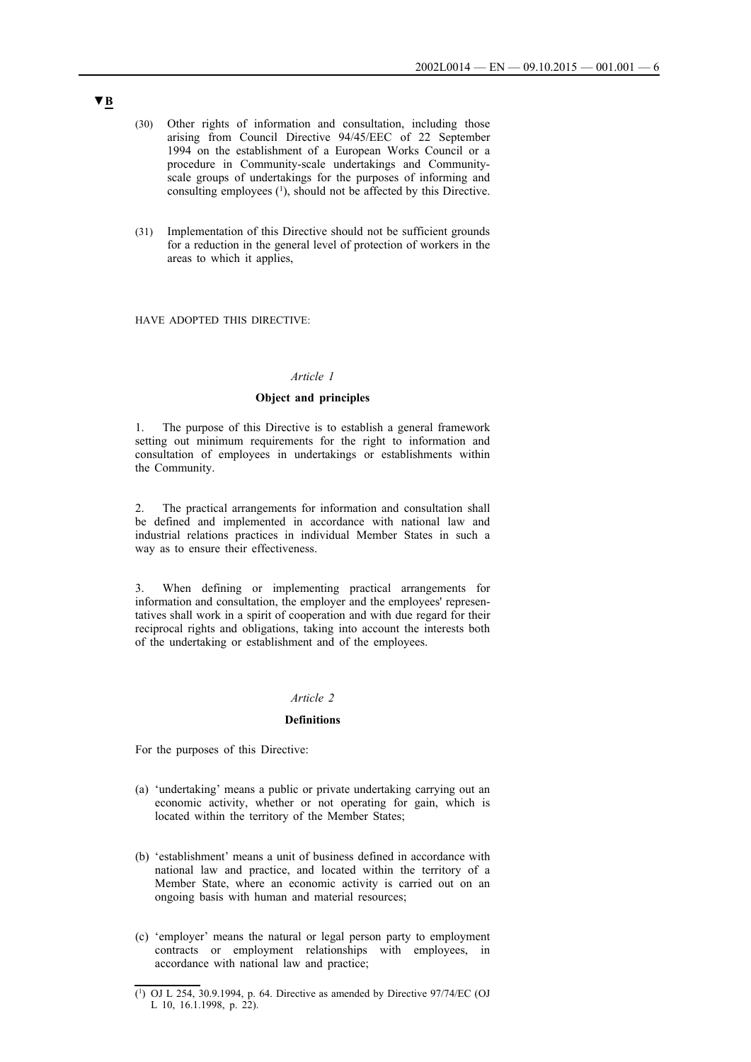- (30) Other rights of information and consultation, including those arising from Council Directive 94/45/EEC of 22 September 1994 on the establishment of a European Works Council or a procedure in Community-scale undertakings and Communityscale groups of undertakings for the purposes of informing and consulting employees  $(1)$ , should not be affected by this Directive.
- (31) Implementation of this Directive should not be sufficient grounds for a reduction in the general level of protection of workers in the areas to which it applies,

HAVE ADOPTED THIS DIRECTIVE:

### *Article 1*

## **Object and principles**

1. The purpose of this Directive is to establish a general framework setting out minimum requirements for the right to information and consultation of employees in undertakings or establishments within the Community.

2. The practical arrangements for information and consultation shall be defined and implemented in accordance with national law and industrial relations practices in individual Member States in such a way as to ensure their effectiveness.

3. When defining or implementing practical arrangements for information and consultation, the employer and the employees' representatives shall work in a spirit of cooperation and with due regard for their reciprocal rights and obligations, taking into account the interests both of the undertaking or establishment and of the employees.

## *Article 2*

#### **Definitions**

For the purposes of this Directive:

- (a) 'undertaking' means a public or private undertaking carrying out an economic activity, whether or not operating for gain, which is located within the territory of the Member States;
- (b) 'establishment' means a unit of business defined in accordance with national law and practice, and located within the territory of a Member State, where an economic activity is carried out on an ongoing basis with human and material resources;
- (c) 'employer' means the natural or legal person party to employment contracts or employment relationships with employees, in accordance with national law and practice;

 $(1)$  OJ L 254, 30.9.1994, p. 64. Directive as amended by Directive 97/74/EC (OJ L 10, 16.1.1998, p. 22).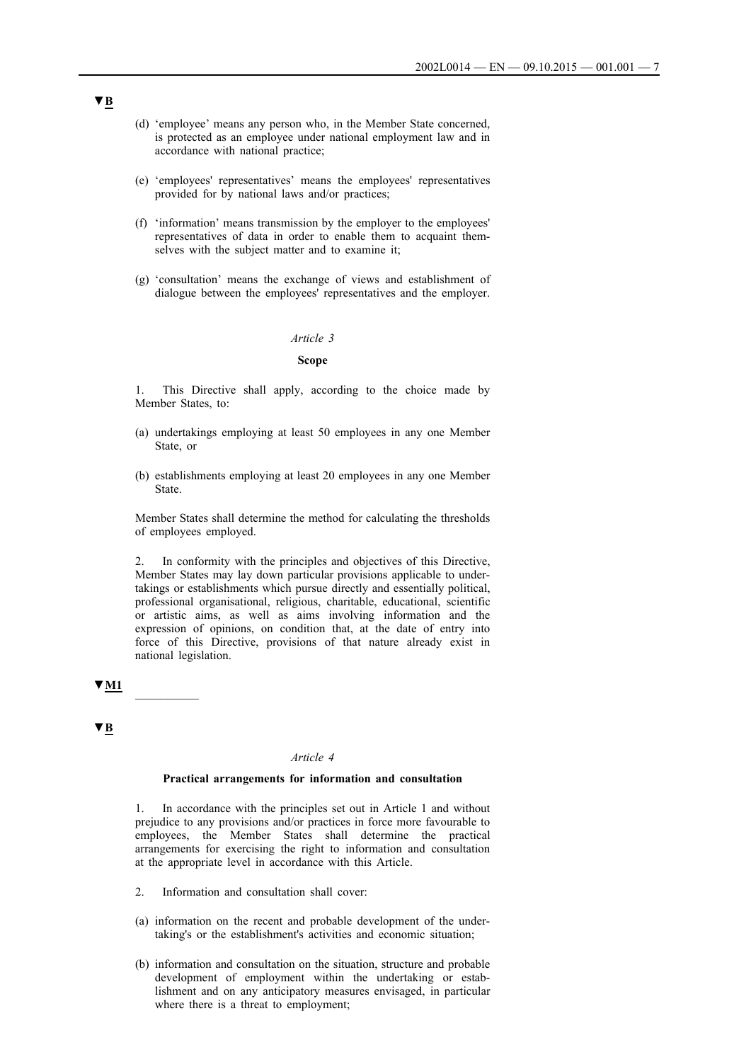- (d) 'employee' means any person who, in the Member State concerned, is protected as an employee under national employment law and in accordance with national practice;
- (e) 'employees' representatives' means the employees' representatives provided for by national laws and/or practices;
- (f) 'information' means transmission by the employer to the employees' representatives of data in order to enable them to acquaint themselves with the subject matter and to examine it;
- (g) 'consultation' means the exchange of views and establishment of dialogue between the employees' representatives and the employer.

### *Article 3*

#### **Scope**

1. This Directive shall apply, according to the choice made by Member States, to:

- (a) undertakings employing at least 50 employees in any one Member State, or
- (b) establishments employing at least 20 employees in any one Member State.

Member States shall determine the method for calculating the thresholds of employees employed.

2. In conformity with the principles and objectives of this Directive, Member States may lay down particular provisions applicable to undertakings or establishments which pursue directly and essentially political, professional organisational, religious, charitable, educational, scientific or artistic aims, as well as aims involving information and the expression of opinions, on condition that, at the date of entry into force of this Directive, provisions of that nature already exist in national legislation.

**▼M1** \_\_\_\_\_\_\_\_\_\_

## **▼B**

#### *Article 4*

### **Practical arrangements for information and consultation**

1. In accordance with the principles set out in Article 1 and without prejudice to any provisions and/or practices in force more favourable to employees, the Member States shall determine the practical arrangements for exercising the right to information and consultation at the appropriate level in accordance with this Article.

- 2. Information and consultation shall cover:
- (a) information on the recent and probable development of the undertaking's or the establishment's activities and economic situation;
- (b) information and consultation on the situation, structure and probable development of employment within the undertaking or establishment and on any anticipatory measures envisaged, in particular where there is a threat to employment;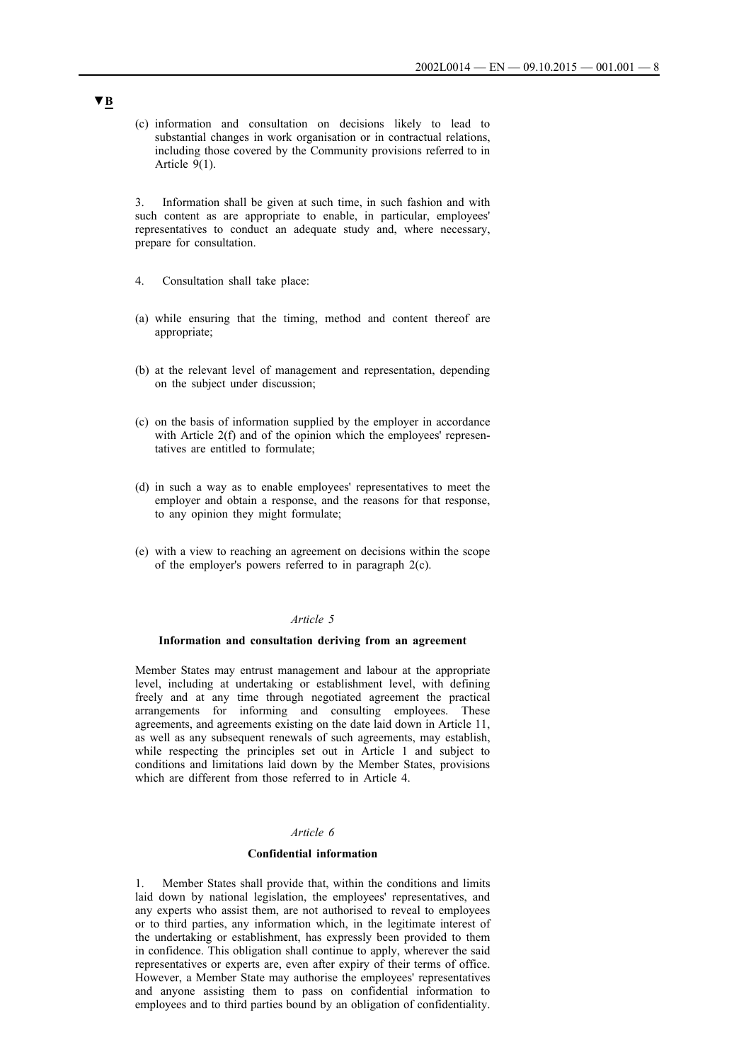(c) information and consultation on decisions likely to lead to substantial changes in work organisation or in contractual relations, including those covered by the Community provisions referred to in Article 9(1).

3. Information shall be given at such time, in such fashion and with such content as are appropriate to enable, in particular, employees' representatives to conduct an adequate study and, where necessary, prepare for consultation.

- 4. Consultation shall take place:
- (a) while ensuring that the timing, method and content thereof are appropriate;
- (b) at the relevant level of management and representation, depending on the subject under discussion;
- (c) on the basis of information supplied by the employer in accordance with Article 2(f) and of the opinion which the employees' representatives are entitled to formulate;
- (d) in such a way as to enable employees' representatives to meet the employer and obtain a response, and the reasons for that response, to any opinion they might formulate;
- (e) with a view to reaching an agreement on decisions within the scope of the employer's powers referred to in paragraph 2(c).

### *Article 5*

## **Information and consultation deriving from an agreement**

Member States may entrust management and labour at the appropriate level, including at undertaking or establishment level, with defining freely and at any time through negotiated agreement the practical arrangements for informing and consulting employees. These agreements, and agreements existing on the date laid down in Article 11, as well as any subsequent renewals of such agreements, may establish, while respecting the principles set out in Article 1 and subject to conditions and limitations laid down by the Member States, provisions which are different from those referred to in Article 4.

### *Article 6*

#### **Confidential information**

1. Member States shall provide that, within the conditions and limits laid down by national legislation, the employees' representatives, and any experts who assist them, are not authorised to reveal to employees or to third parties, any information which, in the legitimate interest of the undertaking or establishment, has expressly been provided to them in confidence. This obligation shall continue to apply, wherever the said representatives or experts are, even after expiry of their terms of office. However, a Member State may authorise the employees' representatives and anyone assisting them to pass on confidential information to employees and to third parties bound by an obligation of confidentiality.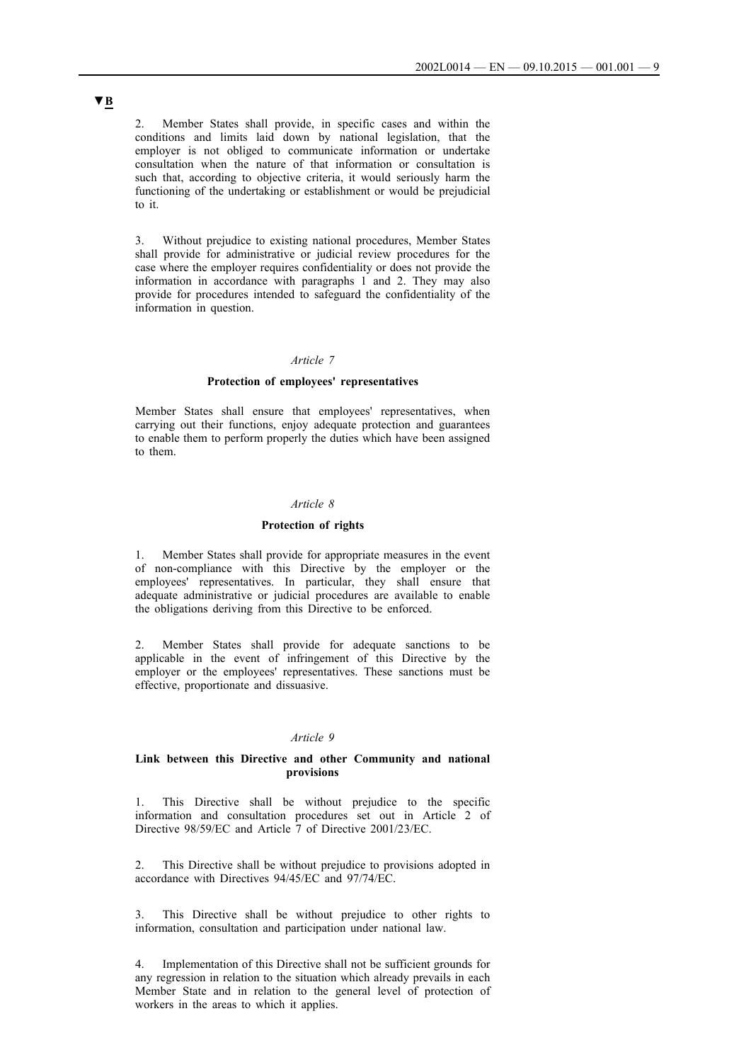2. Member States shall provide, in specific cases and within the conditions and limits laid down by national legislation, that the employer is not obliged to communicate information or undertake consultation when the nature of that information or consultation is such that, according to objective criteria, it would seriously harm the functioning of the undertaking or establishment or would be prejudicial to it.

3. Without prejudice to existing national procedures, Member States shall provide for administrative or judicial review procedures for the case where the employer requires confidentiality or does not provide the information in accordance with paragraphs 1 and 2. They may also provide for procedures intended to safeguard the confidentiality of the information in question.

#### *Article 7*

### **Protection of employees' representatives**

Member States shall ensure that employees' representatives, when carrying out their functions, enjoy adequate protection and guarantees to enable them to perform properly the duties which have been assigned to them.

### *Article 8*

#### **Protection of rights**

1. Member States shall provide for appropriate measures in the event of non-compliance with this Directive by the employer or the employees' representatives. In particular, they shall ensure that adequate administrative or judicial procedures are available to enable the obligations deriving from this Directive to be enforced.

2. Member States shall provide for adequate sanctions to be applicable in the event of infringement of this Directive by the employer or the employees' representatives. These sanctions must be effective, proportionate and dissuasive.

### *Article 9*

### **Link between this Directive and other Community and national provisions**

1. This Directive shall be without prejudice to the specific information and consultation procedures set out in Article 2 of Directive 98/59/EC and Article 7 of Directive 2001/23/EC.

2. This Directive shall be without prejudice to provisions adopted in accordance with Directives 94/45/EC and 97/74/EC.

3. This Directive shall be without prejudice to other rights to information, consultation and participation under national law.

4. Implementation of this Directive shall not be sufficient grounds for any regression in relation to the situation which already prevails in each Member State and in relation to the general level of protection of workers in the areas to which it applies.